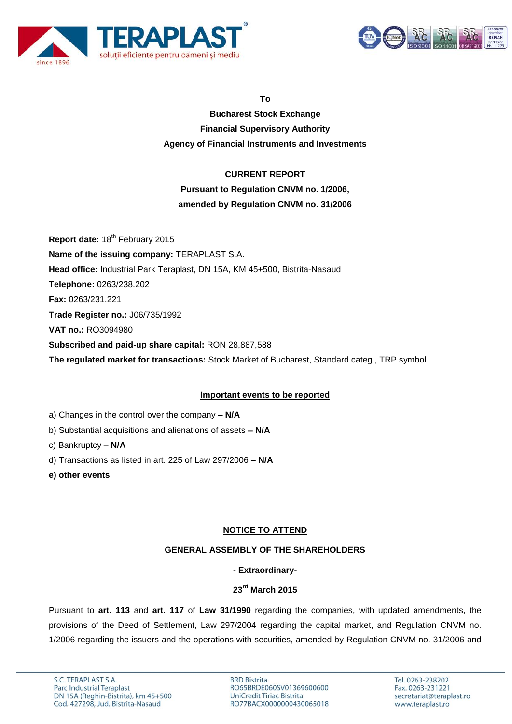



**To**

**Bucharest Stock Exchange Financial Supervisory Authority Agency of Financial Instruments and Investments**

## **CURRENT REPORT**

# **Pursuant to Regulation CNVM no. 1/2006,**

## **amended by Regulation CNVM no. 31/2006**

**Report date: 18<sup>th</sup> February 2015 Name of the issuing company:** TERAPLAST S.A. **Head office:** Industrial Park Teraplast, DN 15A, KM 45+500, Bistrita-Nasaud **Telephone:** 0263/238.202 **Fax:** 0263/231.221 **Trade Register no.:** J06/735/1992 **VAT no.:** RO3094980 **Subscribed and paid-up share capital:** RON 28,887,588 **The regulated market for transactions:** Stock Market of Bucharest, Standard categ., TRP symbol

### **Important events to be reported**

- a) Changes in the control over the company **– N/A**
- b) Substantial acquisitions and alienations of assets **– N/A**
- c) Bankruptcy **– N/A**
- d) Transactions as listed in art. 225 of Law 297/2006 **– N/A**
- **e) other events**

## **NOTICE TO ATTEND**

### **GENERAL ASSEMBLY OF THE SHAREHOLDERS**

### **- Extraordinary-**

## **23rd March 2015**

Pursuant to **art. 113** and **art. 117** of **Law 31/1990** regarding the companies, with updated amendments, the provisions of the Deed of Settlement, Law 297/2004 regarding the capital market, and Regulation CNVM no. 1/2006 regarding the issuers and the operations with securities, amended by Regulation CNVM no. 31/2006 and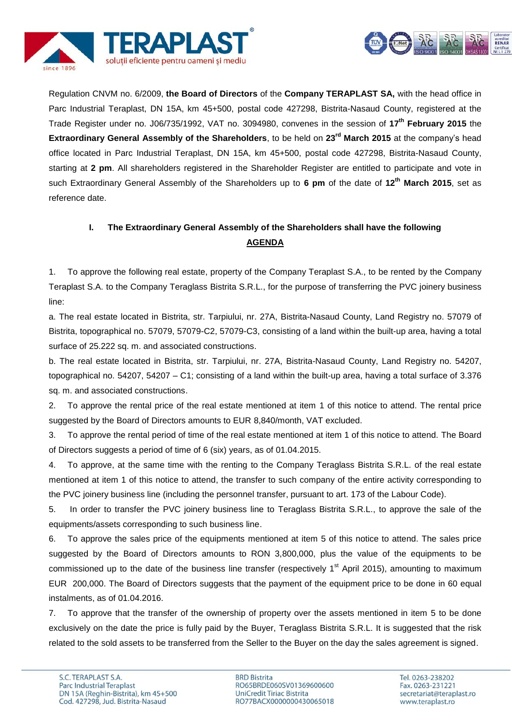



Regulation CNVM no. 6/2009, **the Board of Directors** of the **Company TERAPLAST SA,** with the head office in Parc Industrial Teraplast, DN 15A, km 45+500, postal code 427298, Bistrita-Nasaud County, registered at the Trade Register under no. J06/735/1992, VAT no. 3094980, convenes in the session of **17th February 2015** the **Extraordinary General Assembly of the Shareholders**, to be held on **23rd March 2015** at the company's head office located in Parc Industrial Teraplast, DN 15A, km 45+500, postal code 427298, Bistrita-Nasaud County, starting at **2 pm**. All shareholders registered in the Shareholder Register are entitled to participate and vote in such Extraordinary General Assembly of the Shareholders up to **6 pm** of the date of **12th March 2015**, set as reference date.

# **I. The Extraordinary General Assembly of the Shareholders shall have the following AGENDA**

1. To approve the following real estate, property of the Company Teraplast S.A., to be rented by the Company Teraplast S.A. to the Company Teraglass Bistrita S.R.L., for the purpose of transferring the PVC joinery business line:

a. The real estate located in Bistrita, str. Tarpiului, nr. 27A, Bistrita-Nasaud County, Land Registry no. 57079 of Bistrita, topographical no. 57079, 57079-C2, 57079-C3, consisting of a land within the built-up area, having a total surface of 25.222 sq. m. and associated constructions.

b. The real estate located in Bistrita, str. Tarpiului, nr. 27A, Bistrita-Nasaud County, Land Registry no. 54207, topographical no. 54207, 54207 – C1; consisting of a land within the built-up area, having a total surface of 3.376 sq. m. and associated constructions.

2. To approve the rental price of the real estate mentioned at item 1 of this notice to attend. The rental price suggested by the Board of Directors amounts to EUR 8,840/month, VAT excluded.

3. To approve the rental period of time of the real estate mentioned at item 1 of this notice to attend. The Board of Directors suggests a period of time of 6 (six) years, as of 01.04.2015.

4. To approve, at the same time with the renting to the Company Teraglass Bistrita S.R.L. of the real estate mentioned at item 1 of this notice to attend, the transfer to such company of the entire activity corresponding to the PVC joinery business line (including the personnel transfer, pursuant to art. 173 of the Labour Code).

5. In order to transfer the PVC joinery business line to Teraglass Bistrita S.R.L., to approve the sale of the equipments/assets corresponding to such business line.

6. To approve the sales price of the equipments mentioned at item 5 of this notice to attend. The sales price suggested by the Board of Directors amounts to RON 3,800,000, plus the value of the equipments to be commissioned up to the date of the business line transfer (respectively 1<sup>st</sup> April 2015), amounting to maximum EUR 200,000. The Board of Directors suggests that the payment of the equipment price to be done in 60 equal instalments, as of 01.04.2016.

7. To approve that the transfer of the ownership of property over the assets mentioned in item 5 to be done exclusively on the date the price is fully paid by the Buyer, Teraglass Bistrita S.R.L. It is suggested that the risk related to the sold assets to be transferred from the Seller to the Buyer on the day the sales agreement is signed.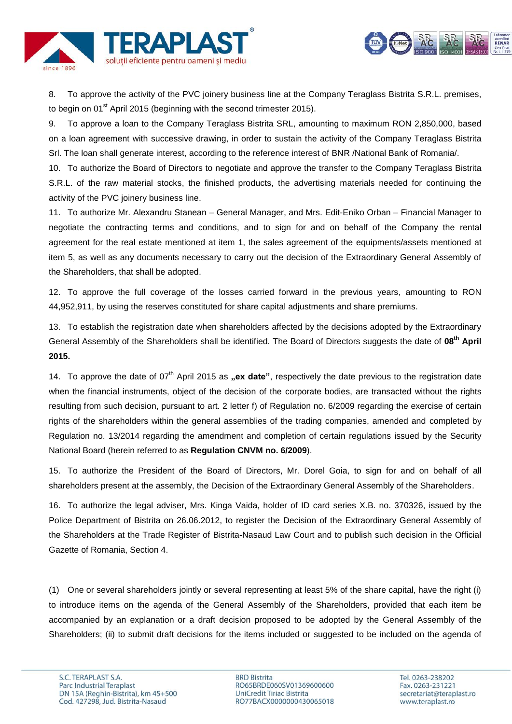

8. To approve the activity of the PVC joinery business line at the Company Teraglass Bistrita S.R.L. premises, to begin on  $01^{st}$  April 2015 (beginning with the second trimester 2015).

9. To approve a loan to the Company Teraglass Bistrita SRL, amounting to maximum RON 2,850,000, based on a loan agreement with successive drawing, in order to sustain the activity of the Company Teraglass Bistrita Srl. The loan shall generate interest, according to the reference interest of BNR /National Bank of Romania/.

10. To authorize the Board of Directors to negotiate and approve the transfer to the Company Teraglass Bistrita S.R.L. of the raw material stocks, the finished products, the advertising materials needed for continuing the activity of the PVC joinery business line.

11. To authorize Mr. Alexandru Stanean – General Manager, and Mrs. Edit-Eniko Orban – Financial Manager to negotiate the contracting terms and conditions, and to sign for and on behalf of the Company the rental agreement for the real estate mentioned at item 1, the sales agreement of the equipments/assets mentioned at item 5, as well as any documents necessary to carry out the decision of the Extraordinary General Assembly of the Shareholders, that shall be adopted.

12. To approve the full coverage of the losses carried forward in the previous years, amounting to RON 44,952,911, by using the reserves constituted for share capital adjustments and share premiums.

13. To establish the registration date when shareholders affected by the decisions adopted by the Extraordinary General Assembly of the Shareholders shall be identified. The Board of Directors suggests the date of **08th April 2015.**

14. To approve the date of 07<sup>th</sup> April 2015 as **..ex date**", respectively the date previous to the registration date when the financial instruments, object of the decision of the corporate bodies, are transacted without the rights resulting from such decision, pursuant to art. 2 letter f) of Regulation no. 6/2009 regarding the exercise of certain rights of the shareholders within the general assemblies of the trading companies, amended and completed by Regulation no. 13/2014 regarding the amendment and completion of certain regulations issued by the Security National Board (herein referred to as **Regulation CNVM no. 6/2009**).

15. To authorize the President of the Board of Directors, Mr. Dorel Goia, to sign for and on behalf of all shareholders present at the assembly, the Decision of the Extraordinary General Assembly of the Shareholders.

16. To authorize the legal adviser, Mrs. Kinga Vaida, holder of ID card series X.B. no. 370326, issued by the Police Department of Bistrita on 26.06.2012, to register the Decision of the Extraordinary General Assembly of the Shareholders at the Trade Register of Bistrita-Nasaud Law Court and to publish such decision in the Official Gazette of Romania, Section 4.

(1) One or several shareholders jointly or several representing at least 5% of the share capital, have the right (i) to introduce items on the agenda of the General Assembly of the Shareholders, provided that each item be accompanied by an explanation or a draft decision proposed to be adopted by the General Assembly of the Shareholders; (ii) to submit draft decisions for the items included or suggested to be included on the agenda of acreditat<br>RENAR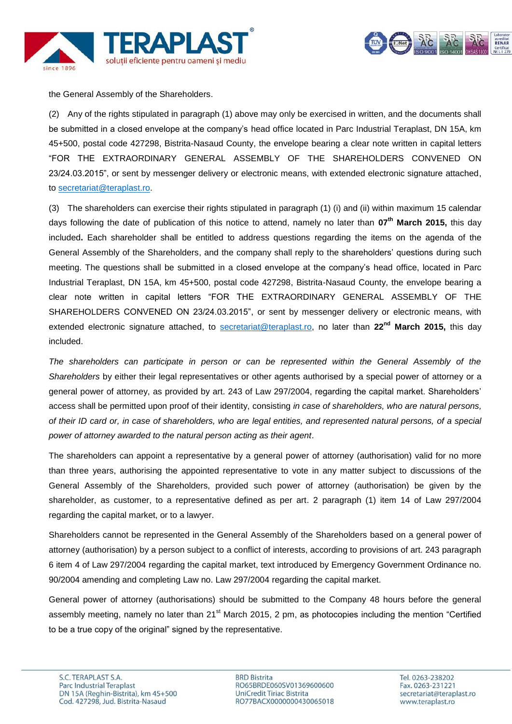



the General Assembly of the Shareholders.

(2) Any of the rights stipulated in paragraph (1) above may only be exercised in written, and the documents shall be submitted in a closed envelope at the company's head office located in Parc Industrial Teraplast, DN 15A, km 45+500, postal code 427298, Bistrita-Nasaud County, the envelope bearing a clear note written in capital letters "FOR THE EXTRAORDINARY GENERAL ASSEMBLY OF THE SHAREHOLDERS CONVENED ON 23/24.03.2015", or sent by messenger delivery or electronic means, with extended electronic signature attached, to [secretariat@teraplast.ro.](mailto:secretariat@teraplast.ro)

(3) The shareholders can exercise their rights stipulated in paragraph (1) (i) and (ii) within maximum 15 calendar days following the date of publication of this notice to attend, namely no later than **07th March 2015,** this day included**.** Each shareholder shall be entitled to address questions regarding the items on the agenda of the General Assembly of the Shareholders, and the company shall reply to the shareholders' questions during such meeting. The questions shall be submitted in a closed envelope at the company's head office, located in Parc Industrial Teraplast, DN 15A, km 45+500, postal code 427298, Bistrita-Nasaud County, the envelope bearing a clear note written in capital letters "FOR THE EXTRAORDINARY GENERAL ASSEMBLY OF THE SHAREHOLDERS CONVENED ON 23/24.03.2015", or sent by messenger delivery or electronic means, with extended electronic signature attached, to [secretariat@teraplast.ro,](mailto:secretariat@teraplast.ro) no later than **22nd March 2015,** this day included.

*The shareholders can participate in person or can be represented within the General Assembly of the Shareholders* by either their legal representatives or other agents authorised by a special power of attorney or a general power of attorney, as provided by art. 243 of Law 297/2004, regarding the capital market. Shareholders' access shall be permitted upon proof of their identity, consisting *in case of shareholders, who are natural persons, of their ID card or, in case of shareholders, who are legal entities, and represented natural persons, of a special power of attorney awarded to the natural person acting as their agent*.

The shareholders can appoint a representative by a general power of attorney (authorisation) valid for no more than three years, authorising the appointed representative to vote in any matter subject to discussions of the General Assembly of the Shareholders, provided such power of attorney (authorisation) be given by the shareholder, as customer, to a representative defined as per art. 2 paragraph (1) item 14 of Law 297/2004 regarding the capital market, or to a lawyer.

Shareholders cannot be represented in the General Assembly of the Shareholders based on a general power of attorney (authorisation) by a person subject to a conflict of interests, according to provisions of art. 243 paragraph 6 item 4 of Law 297/2004 regarding the capital market, text introduced by Emergency Government Ordinance no. 90/2004 amending and completing Law no. Law 297/2004 regarding the capital market.

General power of attorney (authorisations) should be submitted to the Company 48 hours before the general assembly meeting, namely no later than 21<sup>st</sup> March 2015, 2 pm, as photocopies including the mention "Certified to be a true copy of the original" signed by the representative.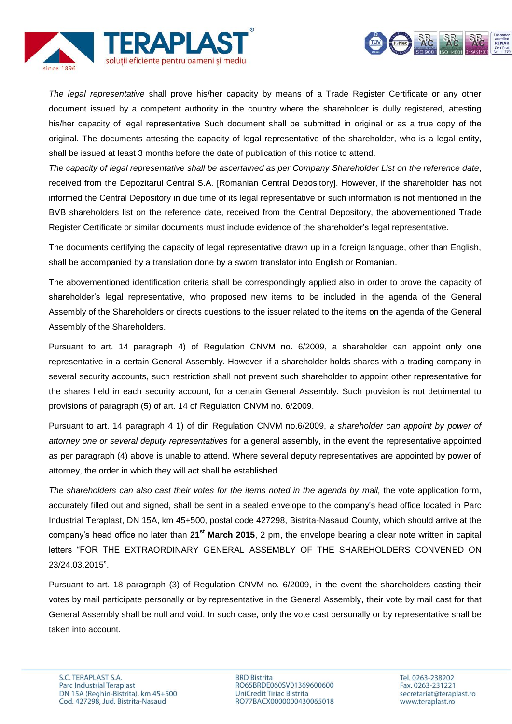



*The legal representative* shall prove his/her capacity by means of a Trade Register Certificate or any other document issued by a competent authority in the country where the shareholder is dully registered, attesting his/her capacity of legal representative Such document shall be submitted in original or as a true copy of the original. The documents attesting the capacity of legal representative of the shareholder, who is a legal entity, shall be issued at least 3 months before the date of publication of this notice to attend.

*The capacity of legal representative shall be ascertained as per Company Shareholder List on the reference date*, received from the Depozitarul Central S.A. [Romanian Central Depository]. However, if the shareholder has not informed the Central Depository in due time of its legal representative or such information is not mentioned in the BVB shareholders list on the reference date, received from the Central Depository, the abovementioned Trade Register Certificate or similar documents must include evidence of the shareholder's legal representative.

The documents certifying the capacity of legal representative drawn up in a foreign language, other than English, shall be accompanied by a translation done by a sworn translator into English or Romanian.

The abovementioned identification criteria shall be correspondingly applied also in order to prove the capacity of shareholder's legal representative, who proposed new items to be included in the agenda of the General Assembly of the Shareholders or directs questions to the issuer related to the items on the agenda of the General Assembly of the Shareholders.

Pursuant to art. 14 paragraph 4) of Regulation CNVM no. 6/2009, a shareholder can appoint only one representative in a certain General Assembly. However, if a shareholder holds shares with a trading company in several security accounts, such restriction shall not prevent such shareholder to appoint other representative for the shares held in each security account, for a certain General Assembly. Such provision is not detrimental to provisions of paragraph (5) of art. 14 of Regulation CNVM no. 6/2009.

Pursuant to art. 14 paragraph 4 1) of din Regulation CNVM no.6/2009, *a shareholder can appoint by power of attorney one or several deputy representatives* for a general assembly, in the event the representative appointed as per paragraph (4) above is unable to attend. Where several deputy representatives are appointed by power of attorney, the order in which they will act shall be established.

*The shareholders can also cast their votes for the items noted in the agenda by mail,* the vote application form, accurately filled out and signed, shall be sent in a sealed envelope to the company's head office located in Parc Industrial Teraplast, DN 15A, km 45+500, postal code 427298, Bistrita-Nasaud County, which should arrive at the company's head office no later than **21st March 2015**, 2 pm, the envelope bearing a clear note written in capital letters "FOR THE EXTRAORDINARY GENERAL ASSEMBLY OF THE SHAREHOLDERS CONVENED ON 23/24.03.2015".

Pursuant to art. 18 paragraph (3) of Regulation CNVM no. 6/2009, in the event the shareholders casting their votes by mail participate personally or by representative in the General Assembly, their vote by mail cast for that General Assembly shall be null and void. In such case, only the vote cast personally or by representative shall be taken into account.

**BRD Bistrita** RO65BRDE060SV01369600600 UniCredit Tiriac Bistrita RO77BACX0000000430065018